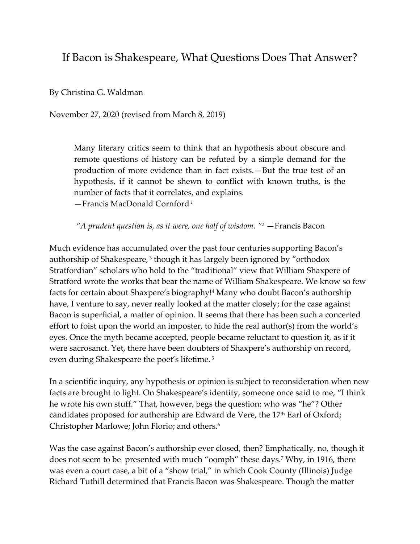## If Bacon is Shakespeare, What Questions Does That Answer?

By Christina G. Waldman

November 27, 2020 (revised from March 8, 2019)

Many literary critics seem to think that an hypothesis about obscure and remote questions of history can be refuted by a simple demand for the production of more evidence than in fact exists.—But the true test of an hypothesis, if it cannot be shewn to conflict with known truths, is the number of facts that it correlates, and explains.

—Francis MacDonald Cornford*<sup>1</sup>*

*"A prudent question is, as it were, one half of wisdom. " <sup>2</sup>* —Francis Bacon

Much evidence has accumulated over the past four centuries supporting Bacon's authorship of Shakespeare, <sup>3</sup> though it has largely been ignored by "orthodox Stratfordian" scholars who hold to the "traditional" view that William Shaxpere of Stratford wrote the works that bear the name of William Shakespeare. We know so few facts for certain about Shaxpere's biography! <sup>4</sup> Many who doubt Bacon's authorship have, I venture to say, never really looked at the matter closely; for the case against Bacon is superficial, a matter of opinion. It seems that there has been such a concerted effort to foist upon the world an imposter, to hide the real author(s) from the world's eyes. Once the myth became accepted, people became reluctant to question it, as if it were sacrosanct. Yet, there have been doubters of Shaxpere's authorship on record, even during Shakespeare the poet's lifetime. <sup>5</sup>

In a scientific inquiry, any hypothesis or opinion is subject to reconsideration when new facts are brought to light. On Shakespeare's identity, someone once said to me, "I think he wrote his own stuff." That, however, begs the question: who was "he"? Other candidates proposed for authorship are Edward de Vere, the 17<sup>th</sup> Earl of Oxford; Christopher Marlowe; John Florio; and others. 6

Was the case against Bacon's authorship ever closed, then? Emphatically, no, though it does not seem to be presented with much "oomph" these days.<sup>7</sup> Why, in 1916, there was even a court case, a bit of a "show trial," in which Cook County (Illinois) Judge Richard Tuthill determined that Francis Bacon was Shakespeare. Though the matter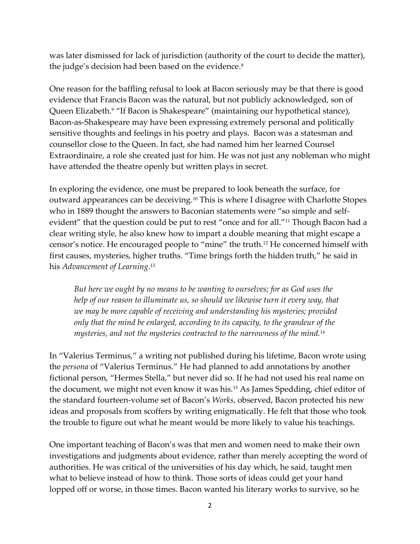was later dismissed for lack of jurisdiction (authority of the court to decide the matter), the judge's decision had been based on the evidence.<sup>8</sup>

One reason for the baffling refusal to look at Bacon seriously may be that there is good evidence that Francis Bacon was the natural, but not publicly acknowledged, son of Queen Elizabeth.<sup>9</sup> "If Bacon is Shakespeare" (maintaining our hypothetical stance), Bacon-as-Shakespeare may have been expressing extremely personal and politically sensitive thoughts and feelings in his poetry and plays. Bacon was a statesman and counsellor close to the Queen. In fact, she had named him her learned Counsel Extraordinaire, a role she created just for him. He was not just any nobleman who might have attended the theatre openly but written plays in secret.

In exploring the evidence, one must be prepared to look beneath the surface, for outward appearances can be deceiving.<sup>10</sup> This is where I disagree with Charlotte Stopes who in 1889 thought the answers to Baconian statements were "so simple and selfevident" that the question could be put to rest "once and for all."<sup>11</sup> Though Bacon had a clear writing style, he also knew how to impart a double meaning that might escape a censor's notice. He encouraged people to "mine" the truth.<sup>12</sup> He concerned himself with first causes, mysteries, higher truths. "Time brings forth the hidden truth," he said in his *Advancement of Learning*. 13

*But here we ought by no means to be wanting to ourselves; for as God uses the help of our reason to illuminate us, so should we likewise turn it every way, that we may be more capable of receiving and understanding his mysteries; provided only that the mind be enlarged, according to its capacity, to the grandeur of the mysteries, and not the mysteries contracted to the narrowness of the mind.<sup>14</sup>*

In "Valerius Terminus," a writing not published during his lifetime, Bacon wrote using the *persona* of "Valerius Terminus." He had planned to add annotations by another fictional person, "Hermes Stella," but never did so. If he had not used his real name on the document, we might not even know it was his.<sup>15</sup> As James Spedding, chief editor of the standard fourteen-volume set of Bacon's *Works*, observed, Bacon protected his new ideas and proposals from scoffers by writing enigmatically. He felt that those who took the trouble to figure out what he meant would be more likely to value his teachings.

One important teaching of Bacon's was that men and women need to make their own investigations and judgments about evidence, rather than merely accepting the word of authorities. He was critical of the universities of his day which, he said, taught men what to believe instead of how to think. Those sorts of ideas could get your hand lopped off or worse, in those times. Bacon wanted his literary works to survive, so he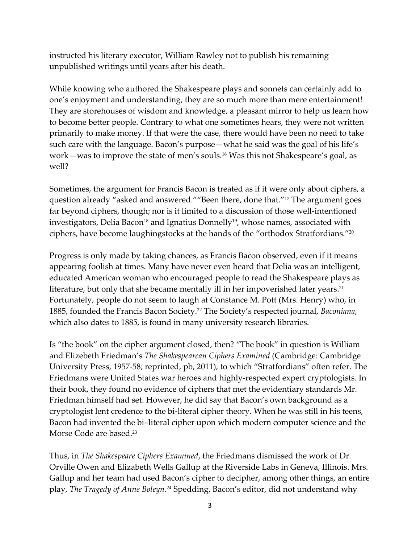instructed his literary executor, William Rawley not to publish his remaining unpublished writings until years after his death.

While knowing who authored the Shakespeare plays and sonnets can certainly add to one's enjoyment and understanding, they are so much more than mere entertainment! They are storehouses of wisdom and knowledge, a pleasant mirror to help us learn how to become better people. Contrary to what one sometimes hears, they were not written primarily to make money. If that were the case, there would have been no need to take such care with the language. Bacon's purpose—what he said was the goal of his life's work—was to improve the state of men's souls.<sup>16</sup> Was this not Shakespeare's goal, as well?

Sometimes, the argument for Francis Bacon is treated as if it were only about ciphers, a question already "asked and answered.""Been there, done that." <sup>17</sup> The argument goes far beyond ciphers, though; nor is it limited to a discussion of those well-intentioned investigators, Delia Bacon $^{\scriptscriptstyle 18}$  and Ignatius Donnelly $^{\scriptscriptstyle 19}$ , whose names, associated with ciphers, have become laughingstocks at the hands of the "orthodox Stratfordians."<sup>20</sup>

Progress is only made by taking chances, as Francis Bacon observed, even if it means appearing foolish at times. Many have never even heard that Delia was an intelligent, educated American woman who encouraged people to read the Shakespeare plays as literature, but only that she became mentally ill in her impoverished later years. 21 Fortunately, people do not seem to laugh at Constance M. Pott (Mrs. Henry) who, in 1885, founded the Francis Bacon Society.<sup>22</sup> The Society's respected journal, *Baconiana*, which also dates to 1885, is found in many university research libraries.

Is "the book" on the cipher argument closed, then? "The book" in question is William and Elizebeth Friedman's *The Shakespearean Ciphers Examined* (Cambridge: Cambridge University Press, 1957-58; reprinted, pb, 2011), to which "Stratfordians" often refer. The Friedmans were United States war heroes and highly-respected expert cryptologists. In their book, they found no evidence of ciphers that met the evidentiary standards Mr. Friedman himself had set. However, he did say that Bacon's own background as a cryptologist lent credence to the bi-literal cipher theory. When he was still in his teens, Bacon had invented the bi–literal cipher upon which modern computer science and the Morse Code are based.<sup>23</sup>

Thus, in *The Shakespeare Ciphers Examined*, the Friedmans dismissed the work of Dr. Orville Owen and Elizabeth Wells Gallup at the Riverside Labs in Geneva, Illinois. Mrs. Gallup and her team had used Bacon's cipher to decipher, among other things, an entire play, *The Tragedy of Anne Boleyn*. <sup>24</sup> Spedding, Bacon's editor, did not understand why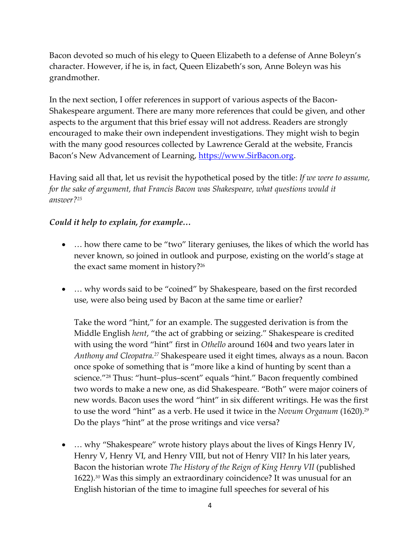Bacon devoted so much of his elegy to Queen Elizabeth to a defense of Anne Boleyn's character. However, if he is, in fact, Queen Elizabeth's son, Anne Boleyn was his grandmother.

In the next section, I offer references in support of various aspects of the Bacon-Shakespeare argument. There are many more references that could be given, and other aspects to the argument that this brief essay will not address. Readers are strongly encouraged to make their own independent investigations. They might wish to begin with the many good resources collected by Lawrence Gerald at the website, Francis Bacon's New Advancement of Learning, [https://www.SirBacon.org.](https://www.sirbacon.org/)

Having said all that, let us revisit the hypothetical posed by the title: *If we were to assume, for the sake of argument, that Francis Bacon was Shakespeare, what questions would it answer?<sup>25</sup>*

## *Could it help to explain, for example…*

- ... how there came to be "two" literary geniuses, the likes of which the world has never known, so joined in outlook and purpose, existing on the world's stage at the exact same moment in history?<sup>26</sup>
- ... why words said to be "coined" by Shakespeare, based on the first recorded use, were also being used by Bacon at the same time or earlier?

Take the word "hint," for an example. The suggested derivation is from the Middle English *hent*, "the act of grabbing or seizing." Shakespeare is credited with using the word "hint" first in *Othello* around 1604 and two years later in *Anthony and Cleopatra.<sup>27</sup>* Shakespeare used it eight times, always as a noun. Bacon once spoke of something that is "more like a kind of hunting by scent than a science."<sup>28</sup> Thus: "hunt–plus–scent" equals "hint." Bacon frequently combined two words to make a new one, as did Shakespeare. "Both" were major coiners of new words. Bacon uses the word "hint" in six different writings. He was the first to use the word "hint" as a verb. He used it twice in the *Novum Organum* (1620). 29 Do the plays "hint" at the prose writings and vice versa?

• ... why "Shakespeare" wrote history plays about the lives of Kings Henry IV, Henry V, Henry VI, and Henry VIII, but not of Henry VII? In his later years, Bacon the historian wrote *The History of the Reign of King Henry VII* (published 1622).*<sup>30</sup>* Was this simply an extraordinary coincidence? It was unusual for an English historian of the time to imagine full speeches for several of his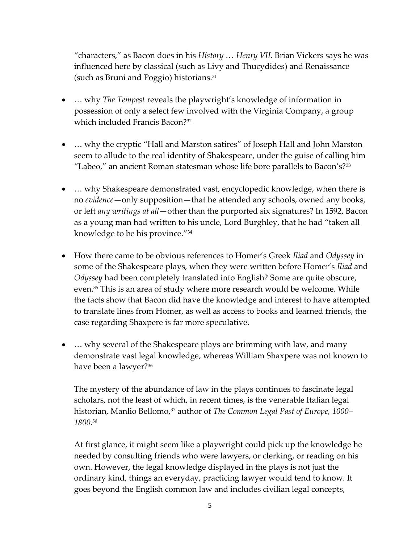"characters," as Bacon does in his *History … Henry VII*. Brian Vickers says he was influenced here by classical (such as Livy and Thucydides) and Renaissance (such as Bruni and Poggio) historians. 31

- … why *The Tempest* reveals the playwright's knowledge of information in possession of only a select few involved with the Virginia Company, a group which included Francis Bacon?<sup>32</sup>
- ... why the cryptic "Hall and Marston satires" of Joseph Hall and John Marston seem to allude to the real identity of Shakespeare, under the guise of calling him "Labeo," an ancient Roman statesman whose life bore parallels to Bacon's?<sup>33</sup>
- ... why Shakespeare demonstrated vast, encyclopedic knowledge, when there is no *evidence*—only supposition—that he attended any schools, owned any books, or left *any writings at all*—other than the purported six signatures? In 1592, Bacon as a young man had written to his uncle, Lord Burghley, that he had "taken all knowledge to be his province."<sup>34</sup>
- How there came to be obvious references to Homer's Greek *Iliad* and *Odyssey* in some of the Shakespeare plays, when they were written before Homer's *Iliad* and *Odyssey* had been completely translated into English? Some are quite obscure, even.<sup>35</sup> This is an area of study where more research would be welcome. While the facts show that Bacon did have the knowledge and interest to have attempted to translate lines from Homer, as well as access to books and learned friends, the case regarding Shaxpere is far more speculative.
- ... why several of the Shakespeare plays are brimming with law, and many demonstrate vast legal knowledge, whereas William Shaxpere was not known to have been a lawyer?<sup>36</sup>

The mystery of the abundance of law in the plays continues to fascinate legal scholars, not the least of which, in recent times, is the venerable Italian legal historian, Manlio Bellomo,<sup>37</sup> author of *The Common Legal Past of Europe*, 1000– *1800.<sup>38</sup>*

At first glance, it might seem like a playwright could pick up the knowledge he needed by consulting friends who were lawyers, or clerking, or reading on his own. However, the legal knowledge displayed in the plays is not just the ordinary kind, things an everyday, practicing lawyer would tend to know. It goes beyond the English common law and includes civilian legal concepts,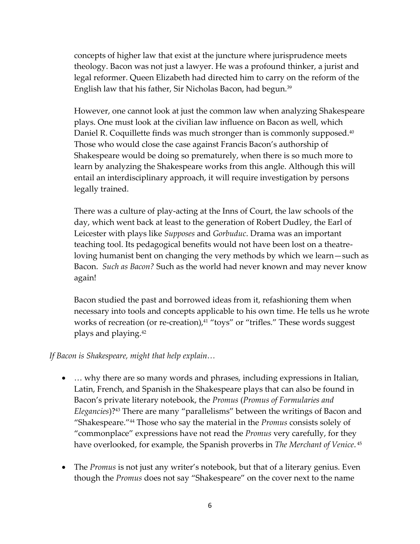concepts of higher law that exist at the juncture where jurisprudence meets theology. Bacon was not just a lawyer. He was a profound thinker, a jurist and legal reformer. Queen Elizabeth had directed him to carry on the reform of the English law that his father, Sir Nicholas Bacon, had begun. 39

However, one cannot look at just the common law when analyzing Shakespeare plays. One must look at the civilian law influence on Bacon as well, which Daniel R. Coquillette finds was much stronger than is commonly supposed. 40 Those who would close the case against Francis Bacon's authorship of Shakespeare would be doing so prematurely, when there is so much more to learn by analyzing the Shakespeare works from this angle. Although this will entail an interdisciplinary approach, it will require investigation by persons legally trained.

There was a culture of play-acting at the Inns of Court, the law schools of the day, which went back at least to the generation of Robert Dudley, the Earl of Leicester with plays like *Supposes* and *Gorbuduc*. Drama was an important teaching tool. Its pedagogical benefits would not have been lost on a theatreloving humanist bent on changing the very methods by which we learn—such as Bacon. *Such as Bacon?* Such as the world had never known and may never know again!

Bacon studied the past and borrowed ideas from it, refashioning them when necessary into tools and concepts applicable to his own time. He tells us he wrote works of recreation (or re-creation),<sup>41</sup> "toys" or "trifles." These words suggest plays and playing.<sup>42</sup>

*If Bacon is Shakespeare, might that help explain…*

- ... why there are so many words and phrases, including expressions in Italian, Latin, French, and Spanish in the Shakespeare plays that can also be found in Bacon's private literary notebook, the *Promus* (*Promus of Formularies and Elegancies*)? <sup>43</sup> There are many "parallelisms" between the writings of Bacon and "Shakespeare."<sup>44</sup> Those who say the material in the *Promus* consists solely of "commonplace" expressions have not read the *Promus* very carefully, for they have overlooked, for example, the Spanish proverbs in *The Merchant of Venice*. 45
- The *Promus* is not just any writer's notebook, but that of a literary genius. Even though the *Promus* does not say "Shakespeare" on the cover next to the name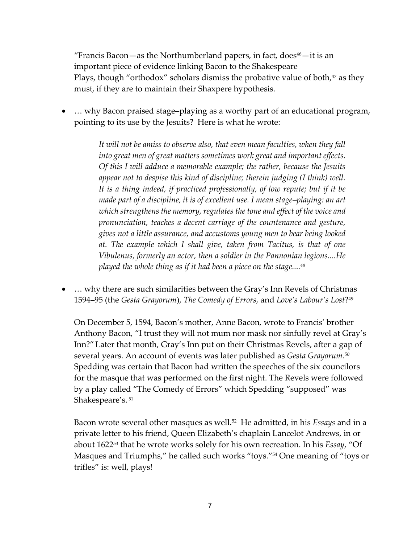"Francis Bacon—as the Northumberland papers, in fact, does $46$ —it is an important piece of evidence linking Bacon to the Shakespeare Plays, though "orthodox" scholars dismiss the probative value of both, $47$  as they must, if they are to maintain their Shaxpere hypothesis.

• ... why Bacon praised stage-playing as a worthy part of an educational program, pointing to its use by the Jesuits? Here is what he wrote:

> *It will not be amiss to observe also, that even mean faculties, when they fall into great men of great matters sometimes work great and important effects. Of this I will adduce a memorable example; the rather, because the Jesuits appear not to despise this kind of discipline; therein judging (I think) well. It is a thing indeed, if practiced professionally, of low repute; but if it be made part of a discipline, it is of excellent use. I mean stage–playing: an art which strengthens the memory, regulates the tone and effect of the voice and pronunciation, teaches a decent carriage of the countenance and gesture, gives not a little assurance, and accustoms young men to bear being looked at. The example which I shall give, taken from Tacitus, is that of one Vibulenus, formerly an actor, then a soldier in the Pannonian legions....He played the whole thing as if it had been a piece on the stage.... 48*

• ... why there are such similarities between the Gray's Inn Revels of Christmas 1594–95 (the *Gesta Grayorum*), *The Comedy of Errors,* and *Love's Labour's Lost*? 49

On December 5, 1594, Bacon's mother, Anne Bacon, wrote to Francis' brother Anthony Bacon, "I trust they will not mum nor mask nor sinfully revel at Gray's Inn?"Later that month, Gray's Inn put on their Christmas Revels, after a gap of several years. An account of events was later published as *Gesta Grayorum*. *50* Spedding was certain that Bacon had written the speeches of the six councilors for the masque that was performed on the first night. The Revels were followed by a play called "The Comedy of Errors" which Spedding "supposed" was Shakespeare's. <sup>51</sup>

Bacon wrote several other masques as well. 52 He admitted, in his *Essays* and in a private letter to his friend, Queen Elizabeth's chaplain Lancelot Andrews, in or about 1622<sup>53</sup> that he wrote works solely for his own recreation. In his *Essay*, "Of Masques and Triumphs," he called such works "toys."<sup>54</sup> One meaning of "toys or trifles" is: well, plays!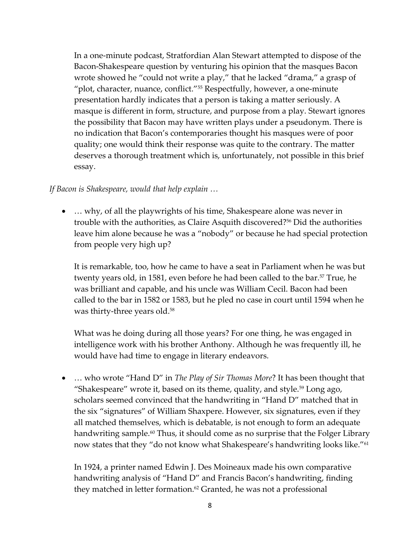In a one-minute podcast, Stratfordian Alan Stewart attempted to dispose of the Bacon-Shakespeare question by venturing his opinion that the masques Bacon wrote showed he "could not write a play," that he lacked "drama," a grasp of "plot, character, nuance, conflict."<sup>55</sup> Respectfully, however, a one-minute presentation hardly indicates that a person is taking a matter seriously. A masque is different in form, structure, and purpose from a play. Stewart ignores the possibility that Bacon may have written plays under a pseudonym. There is no indication that Bacon's contemporaries thought his masques were of poor quality; one would think their response was quite to the contrary. The matter deserves a thorough treatment which is, unfortunately, not possible in this brief essay.

## *If Bacon is Shakespeare, would that help explain …*

• … why, of all the playwrights of his time, Shakespeare alone was never in trouble with the authorities, as Claire Asquith discovered?<sup>56</sup> Did the authorities leave him alone because he was a "nobody" or because he had special protection from people very high up?

It is remarkable, too, how he came to have a seat in Parliament when he was but twenty years old, in 1581, even before he had been called to the bar.<sup>57</sup> True, he was brilliant and capable, and his uncle was William Cecil. Bacon had been called to the bar in 1582 or 1583, but he pled no case in court until 1594 when he was thirty-three years old. 58

What was he doing during all those years? For one thing, he was engaged in intelligence work with his brother Anthony. Although he was frequently ill, he would have had time to engage in literary endeavors.

• … who wrote "Hand D" in *The Play of Sir Thomas More*? It has been thought that "Shakespeare" wrote it, based on its theme, quality, and style.<sup>59</sup> Long ago, scholars seemed convinced that the handwriting in "Hand D" matched that in the six "signatures" of William Shaxpere. However, six signatures, even if they all matched themselves, which is debatable, is not enough to form an adequate handwriting sample.<sup>60</sup> Thus, it should come as no surprise that the Folger Library now states that they "do not know what Shakespeare's handwriting looks like."<sup>61</sup>

In 1924, a printer named Edwin J. Des Moineaux made his own comparative handwriting analysis of "Hand D" and Francis Bacon's handwriting, finding they matched in letter formation.<sup>62</sup> Granted, he was not a professional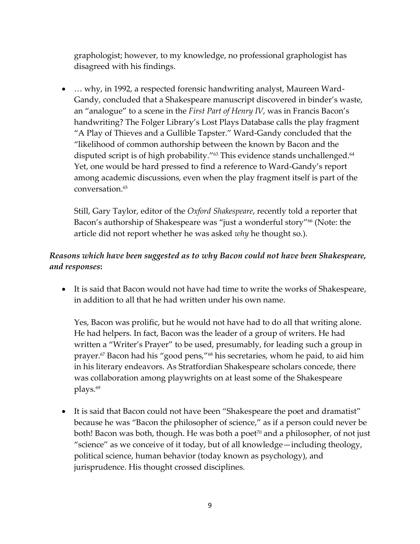graphologist; however, to my knowledge, no professional graphologist has disagreed with his findings.

• … why, in 1992, a respected forensic handwriting analyst, Maureen Ward-Gandy, concluded that a Shakespeare manuscript discovered in binder's waste, an "analogue" to a scene in the *First Part of Henry IV*, was in Francis Bacon's handwriting? The Folger Library's Lost Plays Database calls the play fragment "A Play of Thieves and a Gullible Tapster." Ward-Gandy concluded that the "likelihood of common authorship between the known by Bacon and the disputed script is of high probability."<sup>63</sup> This evidence stands unchallenged.<sup>64</sup> Yet, one would be hard pressed to find a reference to Ward-Gandy's report among academic discussions, even when the play fragment itself is part of the conversation. 65

Still, Gary Taylor, editor of the *Oxford Shakespeare*, recently told a reporter that Bacon's authorship of Shakespeare was "just a wonderful story"<sup>66</sup> (Note: the article did not report whether he was asked *why* he thought so.).

## *Reasons which have been suggested as to why Bacon could not have been Shakespeare, and responses***:**

• It is said that Bacon would not have had time to write the works of Shakespeare, in addition to all that he had written under his own name.

Yes, Bacon was prolific, but he would not have had to do all that writing alone. He had helpers. In fact, Bacon was the leader of a group of writers. He had written a "Writer's Prayer" to be used, presumably, for leading such a group in prayer.<sup>67</sup> Bacon had his "good pens,"<sup>68</sup> his secretaries, whom he paid, to aid him in his literary endeavors. As Stratfordian Shakespeare scholars concede, there was collaboration among playwrights on at least some of the Shakespeare plays.<sup>69</sup>

• It is said that Bacon could not have been "Shakespeare the poet and dramatist" because he was "Bacon the philosopher of science," as if a person could never be both! Bacon was both, though. He was both a poet<sup> $70$ </sup> and a philosopher, of not just "science" as we conceive of it today, but of all knowledge—including theology, political science, human behavior (today known as psychology), and jurisprudence. His thought crossed disciplines.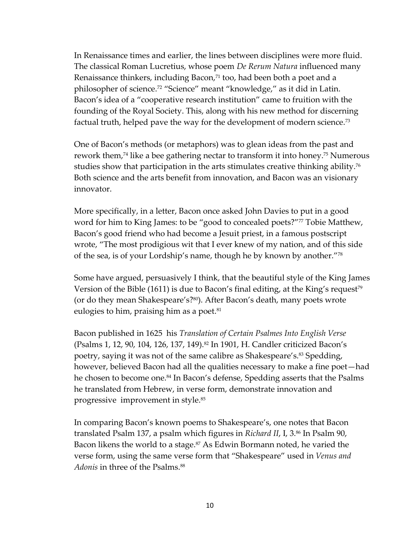In Renaissance times and earlier, the lines between disciplines were more fluid. The classical Roman Lucretius, whose poem *De Rerum Natura* influenced many Renaissance thinkers, including Bacon,<sup>71</sup> too, had been both a poet and a philosopher of science.<sup>72</sup> "Science" meant "knowledge," as it did in Latin. Bacon's idea of a "cooperative research institution" came to fruition with the founding of the Royal Society. This, along with his new method for discerning factual truth, helped pave the way for the development of modern science.<sup>73</sup>

One of Bacon's methods (or metaphors) was to glean ideas from the past and rework them,<sup>74</sup> like a bee gathering nectar to transform it into honey.<sup>75</sup> Numerous studies show that participation in the arts stimulates creative thinking ability.<sup>76</sup> Both science and the arts benefit from innovation, and Bacon was an visionary innovator.

More specifically, in a letter, Bacon once asked John Davies to put in a good word for him to King James: to be "good to concealed poets?"<sup>77</sup> Tobie Matthew, Bacon's good friend who had become a Jesuit priest, in a famous postscript wrote, "The most prodigious wit that I ever knew of my nation, and of this side of the sea, is of your Lordship's name, though he by known by another."<sup>78</sup>

Some have argued, persuasively I think, that the beautiful style of the King James Version of the Bible (1611) is due to Bacon's final editing, at the King's request<sup>79</sup> (or do they mean Shakespeare's?<sup>80</sup>). After Bacon's death, many poets wrote eulogies to him, praising him as a poet.<sup>81</sup>

Bacon published in 1625 his *Translation of Certain Psalmes Into English Verse*  (Psalms 1, 12, 90, 104, 126, 137, 149).<sup>82</sup> In 1901, H. Candler criticized Bacon's poetry, saying it was not of the same calibre as Shakespeare's. <sup>83</sup> Spedding, however, believed Bacon had all the qualities necessary to make a fine poet—had he chosen to become one.<sup>84</sup> In Bacon's defense, Spedding asserts that the Psalms he translated from Hebrew, in verse form, demonstrate innovation and progressive improvement in style. 85

In comparing Bacon's known poems to Shakespeare's, one notes that Bacon translated Psalm 137, a psalm which figures in *Richard II*, I, 3.<sup>86</sup> In Psalm 90, Bacon likens the world to a stage.<sup>87</sup> As Edwin Bormann noted, he varied the verse form, using the same verse form that "Shakespeare" used in *Venus and Adonis* in three of the Psalms.<sup>88</sup>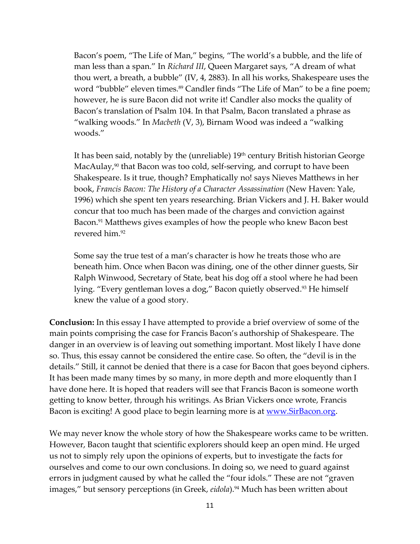Bacon's poem, "The Life of Man," begins, "The world's a bubble, and the life of man less than a span." In *Richard III*, Queen Margaret says, "A dream of what thou wert, a breath, a bubble" (IV, 4, 2883). In all his works, Shakespeare uses the word "bubble" eleven times.<sup>89</sup> Candler finds "The Life of Man" to be a fine poem; however, he is sure Bacon did not write it! Candler also mocks the quality of Bacon's translation of Psalm 104. In that Psalm, Bacon translated a phrase as "walking woods." In *Macbeth* (V, 3), Birnam Wood was indeed a "walking woods."

It has been said, notably by the (unreliable)  $19<sup>th</sup>$  century British historian George MacAulay,<sup>90</sup> that Bacon was too cold, self-serving, and corrupt to have been Shakespeare. Is it true, though? Emphatically no! says Nieves Matthews in her book, *Francis Bacon: The History of a Character Assassination* (New Haven: Yale, 1996) which she spent ten years researching. Brian Vickers and J. H. Baker would concur that too much has been made of the charges and conviction against Bacon.<sup>91</sup> Matthews gives examples of how the people who knew Bacon best revered him.<sup>92</sup>

Some say the true test of a man's character is how he treats those who are beneath him. Once when Bacon was dining, one of the other dinner guests, Sir Ralph Winwood, Secretary of State, beat his dog off a stool where he had been lying. "Every gentleman loves a dog," Bacon quietly observed. <sup>93</sup> He himself knew the value of a good story.

**Conclusion:** In this essay I have attempted to provide a brief overview of some of the main points comprising the case for Francis Bacon's authorship of Shakespeare. The danger in an overview is of leaving out something important. Most likely I have done so. Thus, this essay cannot be considered the entire case. So often, the "devil is in the details." Still, it cannot be denied that there is a case for Bacon that goes beyond ciphers. It has been made many times by so many, in more depth and more eloquently than I have done here. It is hoped that readers will see that Francis Bacon is someone worth getting to know better, through his writings. As Brian Vickers once wrote, Francis Bacon is exciting! A good place to begin learning more is at <u>www.SirBacon.org</u>.

We may never know the whole story of how the Shakespeare works came to be written. However, Bacon taught that scientific explorers should keep an open mind. He urged us not to simply rely upon the opinions of experts, but to investigate the facts for ourselves and come to our own conclusions. In doing so, we need to guard against errors in judgment caused by what he called the "four idols." These are not "graven images," but sensory perceptions (in Greek, *eidola*).<sup>94</sup> Much has been written about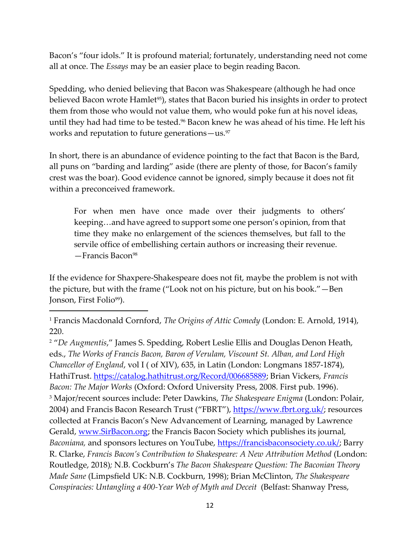Bacon's "four idols." It is profound material; fortunately, understanding need not come all at once. The *Essays* may be an easier place to begin reading Bacon.

Spedding, who denied believing that Bacon was Shakespeare (although he had once believed Bacon wrote Hamlet<sup>95</sup>), states that Bacon buried his insights in order to protect them from those who would not value them, who would poke fun at his novel ideas, until they had had time to be tested.<sup>96</sup> Bacon knew he was ahead of his time. He left his works and reputation to future generations—us.<sup>97</sup>

In short, there is an abundance of evidence pointing to the fact that Bacon is the Bard, all puns on "barding and larding" aside (there are plenty of those, for Bacon's family crest was the boar). Good evidence cannot be ignored, simply because it does not fit within a preconceived framework.

For when men have once made over their judgments to others' keeping…and have agreed to support some one person's opinion, from that time they make no enlargement of the sciences themselves, but fall to the servile office of embellishing certain authors or increasing their revenue.  $-$ Francis Bacon<sup>98</sup>

If the evidence for Shaxpere-Shakespeare does not fit, maybe the problem is not with the picture, but with the frame ("Look not on his picture, but on his book."—Ben Jonson, First Folio<sup>99</sup>).

<sup>2</sup> "*De Augmentis*," James S. Spedding, Robert Leslie Ellis and Douglas Denon Heath, eds., *The Works of Francis Bacon, Baron of Verulam, Viscount St. Alban, and Lord High Chancellor of England*, vol I ( of XIV), 635, in Latin (London: Longmans 1857-1874), HathiTrust. [https://catalog.hathitrust.org/Record/006685889;](https://catalog.hathitrust.org/Record/006685889) Brian Vickers, *Francis Bacon: The Major Works* (Oxford: Oxford University Press, 2008. First pub. 1996). <sup>3</sup> Major/recent sources include: Peter Dawkins, *The Shakespeare Enigma* (London: Polair, 2004) and Francis Bacon Research Trust ("FBRT"), [https://www.fbrt.org.uk/;](https://www.fbrt.org.uk/) resources collected at Francis Bacon's New Advancement of Learning, managed by Lawrence Gerald, [www.SirBacon.org;](http://www.sirbacon.org/) the Francis Bacon Society which publishes its journal, *Baconiana,* and sponsors lectures on YouTube, [https://francisbaconsociety.co.uk/;](https://francisbaconsociety.co.uk/) Barry R. Clarke, *Francis Bacon's Contribution to Shakespeare: A New Attribution Method* (London: Routledge, 2018)*;* N.B. Cockburn's *The Bacon Shakespeare Question: The Baconian Theory Made Sane* (Limpsfield UK: N.B. Cockburn, 1998); Brian McClinton, *The Shakespeare Conspiracies: Untangling a 400-Year Web of Myth and Deceit* (Belfast: Shanway Press,

<sup>1</sup> Francis Macdonald Cornford, *The Origins of Attic Comedy* (London: E. Arnold, 1914), 220.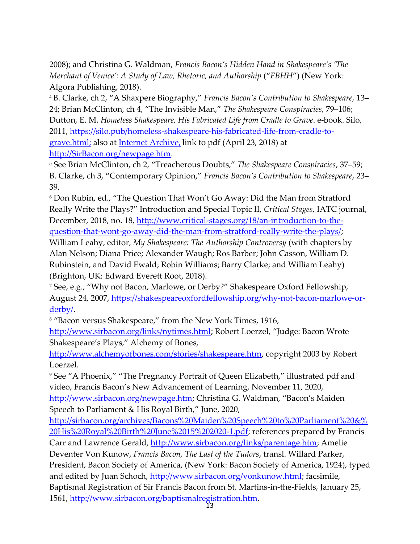2008); and Christina G. Waldman, *Francis Bacon's Hidden Hand in Shakespeare's 'The Merchant of Venice': A Study of Law, Rhetoric, and Authorship* ("*FBHH*") (New York: Algora Publishing, 2018).

<sup>4</sup> B. Clarke, ch 2, "A Shaxpere Biography," *Francis Bacon's Contribution to Shakespeare,* 13‒ 24; Brian McClinton, ch 4, "The Invisible Man," *The Shakespeare Conspiracies*, 79–106; Dutton, E. M. *Homeless Shakespeare, His Fabricated Life from Cradle to Grave*. e-book. Silo, 2011, [https://silo.pub/homeless-shakespeare-his-fabricated-life-from-cradle-to](https://silo.pub/homeless-shakespeare-his-fabricated-life-from-cradle-to-grave.html;)[grave.html;](https://silo.pub/homeless-shakespeare-his-fabricated-life-from-cradle-to-grave.html;) also at [I](http://i/)[nternet Archive,](https://ia800303.us.archive.org/10/items/HomelessShakespeareHisFabricatedLifeFromCradleToGrave_991/Homeless_Shakespeare_upload.pdf.) link to pdf (April 23, 2018) at [http://SirBacon.org/newpage.htm.](http://sirbacon.org/newpage.htm)

<sup>5</sup> See Brian McClinton, ch 2, "Treacherous Doubts," *The Shakespeare Conspiracies*, 37‒59; B. Clarke, ch 3, "Contemporary Opinion," *Francis Bacon's Contribution to Shakespeare*, 23‒ 39.

<sup>6</sup> Don Rubin, ed., "The Question That Won't Go Away: Did the Man from Stratford Really Write the Plays?" Introduction and Special Topic II, *Critical Stages,* IATC journal, December, 2018, no. 18, [http://www.critical-stages.org/18/an-introduction-to-the](http://www.critical-stages.org/18/an-introduction-to-the-question-that-wont-go-away-did-the-man-from-stratford-really-write-the-plays/)[question-that-wont-go-away-did-the-man-from-stratford-really-write-the-plays/;](http://www.critical-stages.org/18/an-introduction-to-the-question-that-wont-go-away-did-the-man-from-stratford-really-write-the-plays/)

William Leahy, editor, *My Shakespeare: The Authorship Controversy* (with chapters by Alan Nelson; Diana Price; Alexander Waugh; Ros Barber; John Casson, William D. Rubinstein, and David Ewald; Robin Williams; Barry Clarke; and William Leahy) (Brighton, UK: Edward Everett Root, 2018).

<sup>7</sup> See, e.g., "Why not Bacon, Marlowe, or Derby?" Shakespeare Oxford Fellowship, August 24, 2007, [https://shakespeareoxfordfellowship.org/why-not-bacon-marlowe-or](https://shakespeareoxfordfellowship.org/why-not-bacon-marlowe-or-derby/)[derby/.](https://shakespeareoxfordfellowship.org/why-not-bacon-marlowe-or-derby/)

<sup>8</sup> "Bacon versus Shakespeare," from the New York Times, 1916,

[http://www.sirbacon.org/links/nytimes.html;](http://www.sirbacon.org/links/nytimes.html) Robert Loerzel, "Judge: Bacon Wrote Shakespeare's Plays," Alchemy of Bones,

[http://www.alchemyofbones.com/stories/shakespeare.htm,](http://www.alchemyofbones.com/stories/shakespeare.htm) copyright 2003 by Robert Loerzel.

<sup>9</sup> See "A Phoenix," "The Pregnancy Portrait of Queen Elizabeth," illustrated pdf and video, Francis Bacon's New Advancement of Learning, November 11, 2020, <http://www.sirbacon.org/newpage.htm>; Christina G. Waldman, "Bacon's Maiden Speech to Parliament & His Royal Birth," June, 2020,

[http://sirbacon.org/archives/Bacons%20Maiden%20Speech%20to%20Parliament%20&%](http://sirbacon.org/archives/Bacons%20Maiden%20Speech%20to%20Parliament%20&%20His%20Royal%20Birth%20June%2015%202020-1.pdf) [20His%20Royal%20Birth%20June%2015%202020-1.pdf;](http://sirbacon.org/archives/Bacons%20Maiden%20Speech%20to%20Parliament%20&%20His%20Royal%20Birth%20June%2015%202020-1.pdf) references prepared by Francis Carr and Lawrence Gerald, [http://www.sirbacon.org/links/parentage.htm;](http://www.sirbacon.org/links/parentage.htm) Amelie Deventer Von Kunow, *Francis Bacon, The Last of the Tudors*, transl. Willard Parker, President, Bacon Society of America, (New York: Bacon Society of America, 1924), typed and edited by Juan Schoch, [http://www.sirbacon.org/vonkunow.html;](http://www.sirbacon.org/vonkunow.html) facsimile, Baptismal Registration of Sir Francis Bacon from St. Martins-in-the-Fields, January 25, 1561, <u>http://www.sirbacon.org/baptismalregistration.htm</u>.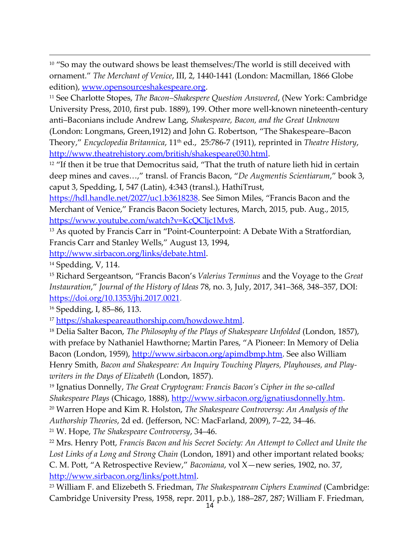<sup>10</sup> "So may the outward shows be least themselves:/The world is still deceived with ornament." *The Merchant of Venice*, III, 2, 1440-1441 (London: Macmillan, 1866 Globe edition), [www.opensourceshakespeare.org.](http://www.opensourceshakespeare.org/)

<sup>11</sup> See Charlotte Stopes, *The Bacon–Shakespere Question Answered*, (New York: Cambridge University Press, 2010, first pub. 1889), 199. Other more well-known nineteenth-century anti–Baconians include Andrew Lang, *Shakespeare, Bacon, and the Great Unknown* (London: Longmans, Green,1912) and John G. Robertson, "The Shakespeare–Bacon Theory," *Encyclopedia Britannica,* 11<sup>th</sup> ed., 25:786-7 (1911), reprinted in *Theatre History,* [http://www.theatrehistory.com/british/shakespeare030.html.](http://www.theatrehistory.com/british/shakespeare030.html)

<sup>12</sup> "If then it be true that Democritus said, "That the truth of nature lieth hid in certain deep mines and caves…," transl. of Francis Bacon, "*De Augmentis Scientiarum*," book 3, caput 3, Spedding, I, 547 (Latin), 4:343 (transl.), HathiTrust,

<https://hdl.handle.net/2027/uc1.b3618238>. See Simon Miles, "Francis Bacon and the Merchant of Venice," Francis Bacon Society lectures, March, 2015, pub. Aug., 2015, [https://www.youtube.com/watch?v=KcQCljc1Mv8.](https://www.youtube.com/watch?v=KcQCljc1Mv8)

<sup>13</sup> As quoted by Francis Carr in "Point-Counterpoint: A Debate With a Stratfordian, Francis Carr and Stanley Wells," August 13, 1994,

[http://www.sirbacon.org/links/debate.html.](http://www.sirbacon.org/links/debate.html)

<sup>14</sup> Spedding, V, 114.

<sup>15</sup> Richard Sergeantson, "Francis Bacon's *Valerius Terminus* and the Voyage to the *Great Instauration*," *Journal of the History of Ideas* 78, no. 3, July, 2017, 341‒368, 348‒357, DOI: [https://doi.org/10.1353/jhi.2017.0021.](https://doi.org/10.1353/jhi.2017.0021)

<sup>16</sup> Spedding, I, 85–86, 113.

<sup>17</sup> [https://shakespeareauthorship.com/howdowe.html.](https://shakespeareauthorship.com/howdowe.html)

<sup>18</sup> Delia Salter Bacon, *The Philosophy of the Plays of Shakespeare Unfolded* (London, 1857), with preface by Nathaniel Hawthorne; Martin Pares, "A Pioneer: In Memory of Delia Bacon (London, 1959), [http://www.sirbacon.org/apimdbmp.htm.](http://www.sirbacon.org/apimdbmp.htm) See also William Henry Smith, *Bacon and Shakespeare: An Inquiry Touching Players, Playhouses, and Playwriters in the Days of Elizabeth* (London, 1857).

<sup>19</sup> Ignatius Donnelly, *The Great Cryptogram: Francis Bacon's Cipher in the so-called Shakespeare Plays* (Chicago, 1888), [http://www.sirbacon.org/ignatiusdonnelly.htm.](http://www.sirbacon.org/ignatiusdonnelly.htm)

<sup>20</sup> Warren Hope and Kim R. Holston, *The Shakespeare Controversy: An Analysis of the Authorship Theories*, 2d ed. (Jefferson, NC: MacFarland, 2009), 7–22, 34–46.

<sup>21</sup> W. Hope, *The Shakespeare Controversy*, 34‒46.

<sup>22</sup> Mrs. Henry Pott, *Francis Bacon and his Secret Society: An Attempt to Collect and Unite the Lost Links of a Long and Strong Chain* (London, 1891) and other important related books*;*  C. M. Pott, "A Retrospective Review," *Baconiana*, vol X—new series, 1902, no. 37, [http://www.sirbacon.org/links/pott.html.](http://www.sirbacon.org/links/pott.html)

<sup>23</sup> William F. and Elizebeth S. Friedman, *The Shakespearean Ciphers Examined* (Cambridge: Cambridge University Press, 1958, repr. 2011, p.b.), 188–287, 287; William F. Friedman,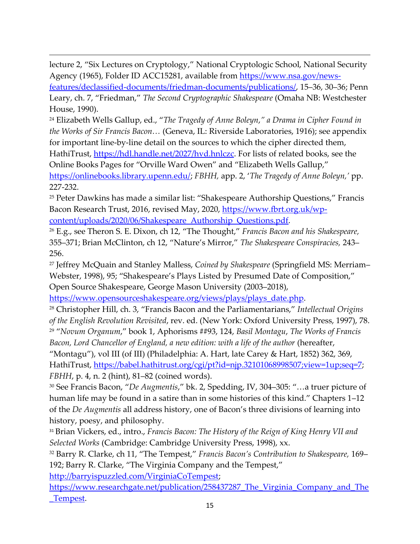lecture 2, "Six Lectures on Cryptology," National Cryptologic School, National Security Agency (1965), Folder ID ACC15281, available from [https://www.nsa.gov/news](https://www.nsa.gov/news-features/declassified-documents/friedman-documents/publications/)[features/declassified-documents/friedman-documents/publications/,](https://www.nsa.gov/news-features/declassified-documents/friedman-documents/publications/) 15–36, 30–36; Penn

Leary, ch. 7, "Friedman," *The Second Cryptographic Shakespeare* (Omaha NB: Westchester House, 1990).

<sup>24</sup> Elizabeth Wells Gallup, ed., "*The Tragedy of Anne Boleyn*,*" a Drama in Cipher Found in the Works of Sir Francis Bacon…* (Geneva, IL: Riverside Laboratories, 1916); see appendix for important line-by-line detail on the sources to which the cipher directed them, HathiTrust, [https://hdl.handle.net/2027/hvd.hnlczc.](https://hdl.handle.net/2027/hvd.hnlczc) For lists of related books, see the Online Books Pages for "Orville Ward Owen" and "Elizabeth Wells Gallup," [https://onlinebooks.library.upenn.edu/;](https://onlinebooks.library.upenn.edu/) *FBHH,* app. 2, '*The Tragedy of Anne Boleyn,'* pp. 227-232.

<sup>25</sup> Peter Dawkins has made a similar list: "Shakespeare Authorship Questions," Francis Bacon Research Trust, 2016, revised May, 2020, [https://www.fbrt.org.uk/wp](https://www.fbrt.org.uk/wp-content/uploads/2020/06/Shakespeare_Authorship_Questions.pdf)[content/uploads/2020/06/Shakespeare\\_Authorship\\_Questions.pdf.](https://www.fbrt.org.uk/wp-content/uploads/2020/06/Shakespeare_Authorship_Questions.pdf)

<sup>26</sup> E.g., see Theron S. E. Dixon, ch 12, "The Thought," *Francis Bacon and his Shakespeare,*  355–371; Brian McClinton, ch 12, "Nature's Mirror," *The Shakespeare Conspiracies*, 243– 256.

<sup>27</sup> Jeffrey McQuain and Stanley Malless, *Coined by Shakespeare* (Springfield MS: Merriam– Webster, 1998), 95; "Shakespeare's Plays Listed by Presumed Date of Composition," Open Source Shakespeare, George Mason University (2003–2018),

[https://www.opensourceshakespeare.org/views/plays/plays\\_date.php.](https://www.opensourceshakespeare.org/views/plays/plays_date.php)

<sup>28</sup> Christopher Hill, ch. 3, "Francis Bacon and the Parliamentarians," *Intellectual Origins of the English Revolution Revisited*, rev. ed. (New York: Oxford University Press, 1997), 78. <sup>29</sup> "*Novum Organum*," book 1, Aphorisms ##93, 124, *Basil Montagu*, *The Works of Francis Bacon, Lord Chancellor of England, a new edition: with a life of the author* (hereafter,

"Montagu"), vol III (of III) (Philadelphia: A. Hart, late Carey & Hart, 1852) 362, 369, HathiTrust, [https://babel.hathitrust.org/cgi/pt?id=njp.32101068998507;view=1up;seq=7;](https://babel.hathitrust.org/cgi/pt?id=njp.32101068998507;view=1up;seq=7) *FBHH*, p. 4, n. 2 (hint), 81–82 (coined words).

<sup>30</sup> See Francis Bacon, "*De Augmentis*," bk. 2, Spedding, IV, 304–305: "…a truer picture of human life may be found in a satire than in some histories of this kind." Chapters 1–12 of the *De Augmentis* all address history, one of Bacon's three divisions of learning into history, poesy, and philosophy.

<sup>31</sup> Brian Vickers, ed., intro., *Francis Bacon: The History of the Reign of King Henry VII and Selected Works* (Cambridge: Cambridge University Press, 1998), xx.

<sup>32</sup> Barry R. Clarke, ch 11, "The Tempest," *Francis Bacon's Contribution to Shakespeare*, 169– 192; Barry R. Clarke, "The Virginia Company and the Tempest,"

[http://barryispuzzled.com/VirginiaCoTempest;](http://barryispuzzled.com/VirginiaCoTempest)

https://www.researchgate.net/publication/258437287 The Virginia Company and The [\\_Tempest.](https://www.researchgate.net/publication/258437287_The_Virginia_Company_and_The_Tempest)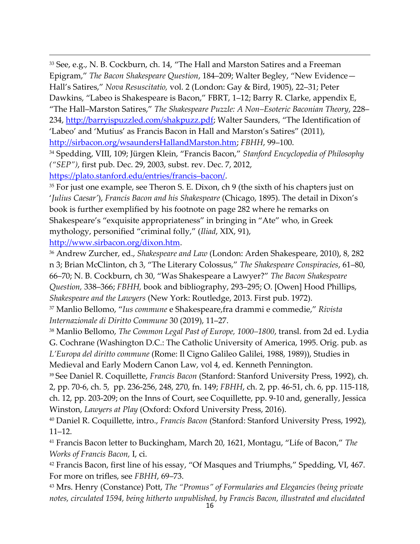33 See, e.g., N. B. Cockburn, ch. 14, "The Hall and Marston Satires and a Freeman Epigram," *The Bacon Shakespeare Question*, 184–209; Walter Begley, "New Evidence— Hall's Satires," *Nova Resuscitatio,* vol. 2 (London: Gay & Bird, 1905), 22–31; Peter Dawkins, "Labeo is Shakespeare is Bacon," FBRT, 1–12; Barry R. Clarke, appendix E, "The Hall–Marston Satires," *The Shakespeare Puzzle: A Non–Esoteric Baconian Theory*, 228– 234,<http://barryispuzzled.com/shakpuzz.pdf>; Walter Saunders, "The Identification of 'Labeo' and 'Mutius' as Francis Bacon in Hall and Marston's Satires" (2011), [http://sirbacon.org/wsaundersHallandMarston.htm;](http://sirbacon.org/wsaundersHallandMarston.htm) FBHH, 99-100.

<sup>34</sup> Spedding, VIII, 109; Jürgen Klein, "Francis Bacon," *Stanford Encyclopedia of Philosophy ("SEP")*, first pub. Dec. 29, 2003, subst. rev. Dec. 7, 2012,

[https://plato.stanford.edu/entries/francis](https://plato.stanford.edu/entries/francis-bacon/)–bacon/.

<sup>35</sup> For just one example, see Theron S. E. Dixon, ch 9 (the sixth of his chapters just on '*Julius Caesar'*), *Francis Bacon and his Shakespeare* (Chicago, 1895). The detail in Dixon's book is further exemplified by his footnote on page 282 where he remarks on Shakespeare's "exquisite appropriateness" in bringing in "Ate" who, in Greek mythology, personified "criminal folly," (*Iliad*, XIX, 91),

[http://www.sirbacon.org/dixon.htm.](http://www.sirbacon.org/dixon.htm)

<sup>36</sup> Andrew Zurcher, ed., *Shakespeare and Law* (London: Arden Shakespeare, 2010), 8, 282 n 3; Brian McClinton, ch 3, "The Literary Colossus," *The Shakespeare Conspiracies*, 61‒80, 66‒70; N. B. Cockburn, ch 30, "Was Shakespeare a Lawyer?" *The Bacon Shakespeare Question,* 338‒366; *FBHH,* book and bibliography, 293‒295; O. [Owen] Hood Phillips, *Shakespeare and the Lawyers* (New York: Routledge, 2013. First pub. 1972).

<sup>37</sup> Manlio Bellomo, "*Ius commune* e Shakespeare,fra drammi e commedie," *Rivista Internazionale di Diritto Commune* 30 (2019), 11‒27.

<sup>38</sup> Manlio Bellomo, *The Common Legal Past of Europe*, 1000–1800, transl. from 2d ed. Lydia G. Cochrane (Washington D.C.: The Catholic University of America, 1995. Orig. pub. as *L'Europa del diritto commune* (Rome: Il Cigno Galileo Galilei, 1988, 1989)), Studies in Medieval and Early Modern Canon Law, vol 4, ed. Kenneth Pennington.

<sup>39</sup> See Daniel R. Coquillette, *Francis Bacon* (Stanford: Stanford University Press, 1992), ch. 2, pp. 70-6, ch. 5, pp. 236-256, 248, 270, fn. 149; *FBHH*, ch. 2, pp. 46-51, ch. 6, pp. 115-118, ch. 12, pp. 203-209; on the Inns of Court, see Coquillette, pp. 9-10 and, generally, Jessica Winston, *Lawyers at Play* (Oxford: Oxford University Press, 2016).

<sup>40</sup> Daniel R. Coquillette, intro., *Francis Bacon* (Stanford: Stanford University Press, 1992),  $11 - 12.$ 

<sup>41</sup> Francis Bacon letter to Buckingham, March 20, 1621, Montagu, "Life of Bacon," *The Works of Francis Bacon,* I, ci.

<sup>42</sup> Francis Bacon, first line of his essay, "Of Masques and Triumphs," Spedding, VI, 467. For more on trifles, see *FBHH*, 69–73.

<sup>43</sup> Mrs. Henry (Constance) Pott, *The "Promus" of Formularies and Elegancies (being private notes, circulated 1594, being hitherto unpublished, by Francis Bacon, illustrated and elucidated*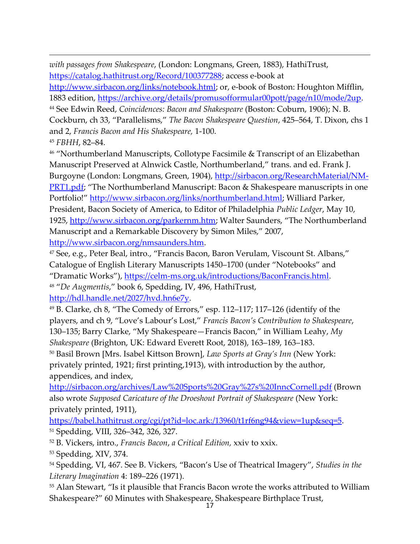*with passages from Shakespeare*, (London: Longmans, Green, 1883), HathiTrust, [https://catalog.hathitrust.org/Record/100377288;](https://catalog.hathitrust.org/Record/100377288) access e-book at

[http://www.sirbacon.org/links/notebook.html;](http://www.sirbacon.org/links/notebook.html) or, e-book of Boston: Houghton Mifflin, 1883 edition, [https://archive.org/details/promusofformular00pott/page/n10/mode/2up.](https://archive.org/details/promusofformular00pott/page/n10/mode/2up)

<sup>44</sup> See Edwin Reed, *Coincidences: Bacon and Shakespeare* (Boston: Coburn, 1906); N. B. Cockburn, ch 33, "Parallelisms," *The Bacon Shakespeare Question*, 425–564, T. Dixon, chs 1 and 2, *Francis Bacon and His Shakespeare,* 1-100.

<sup>45</sup> *FBHH*, 82‒84.

<sup>46</sup> "Northumberland Manuscripts, Collotype Facsimile & Transcript of an Elizabethan Manuscript Preserved at Alnwick Castle, Northumberland," trans. and ed. Frank J. Burgoyne (London: Longmans, Green, 1904), [http://sirbacon.org/ResearchMaterial/NM-](http://sirbacon.org/ResearchMaterial/NM-PRT1.pdf)[PRT1.pdf](http://sirbacon.org/ResearchMaterial/NM-PRT1.pdf); "The Northumberland Manuscript: Bacon & Shakespeare manuscripts in one Portfolio!" [http://www.sirbacon.org/links/northumberland.html;](http://www.sirbacon.org/links/northumberland.html) Williard Parker, President, Bacon Society of America, to Editor of Philadelphia *Public Ledger*, May 10, 1925,<http://www.sirbacon.org/parkernm.htm>; Walter Saunders, "The Northumberland Manuscript and a Remarkable Discovery by Simon Miles," 2007, [http://www.sirbacon.org/nmsaunders.htm.](http://www.sirbacon.org/nmsaunders.htm)

<sup>47</sup> See, e.g., Peter Beal, intro., "Francis Bacon, Baron Verulam, Viscount St. Albans," Catalogue of English Literary Manuscripts 1450–1700 (under "Notebooks" and "Dramatic Works"), [https://celm-ms.org.uk/introductions/BaconFrancis.html.](https://celm-ms.org.uk/introductions/BaconFrancis.html) <sup>48</sup> "*De Augmentis*," book 6, Spedding, IV, 496, HathiTrust, [http://hdl.handle.net/2027/hvd.hn6e7y.](http://hdl.handle.net/2027/hvd.hn6e7y)

 $49$  B. Clarke, ch 8, "The Comedy of Errors," esp. 112–117; 117–126 (identify of the players, and ch 9, "Love's Labour's Lost," *Francis Bacon's Contribution to Shakespeare*, 130‒135; Barry Clarke, "My Shakespeare—Francis Bacon," in William Leahy, *My Shakespeare* (Brighton, UK: Edward Everett Root, 2018), 163–189, 163–183.

<sup>50</sup> Basil Brown [Mrs. Isabel Kittson Brown], *Law Sports at Gray's Inn* (New York: privately printed, 1921; first printing,1913), with introduction by the author, appendices, and index,

<http://sirbacon.org/archives/Law%20Sports%20Gray%27s%20InncCornell.pdf> (Brown also wrote *Supposed Caricature of the Droeshout Portrait of Shakespeare* (New York: privately printed, 1911),

[https://babel.hathitrust.org/cgi/pt?id=loc.ark:/13960/t1rf6ng94&view=1up&seq=5.](https://babel.hathitrust.org/cgi/pt?id=loc.ark:/13960/t1rf6ng94&view=1up&seq=5) <sup>51</sup> Spedding, VIII, 326‒342, 326, 327.

<sup>52</sup> B. Vickers, intro., *Francis Bacon*, *a Critical Edition,* xxiv to xxix.

<sup>53</sup> Spedding, XIV, 374.

<sup>54</sup> Spedding, VI, 467. See B. Vickers, "Bacon's Use of Theatrical Imagery", *Studies in the Literary Imagination* 4: 189–226 (1971).

<sup>55</sup> Alan Stewart, "Is it plausible that Francis Bacon wrote the works attributed to William Shakespeare?" 60 Minutes with Shakespeare, Shakespeare Birthplace Trust,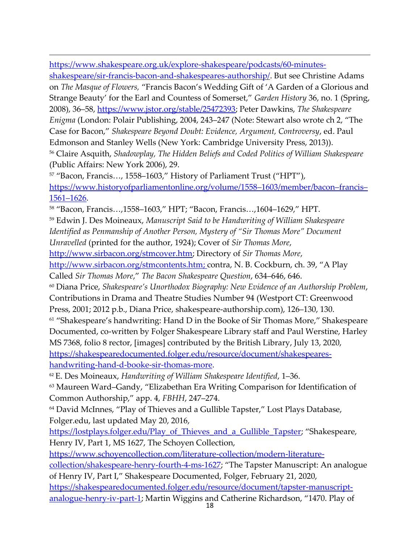[https://www.shakespeare.org.uk/explore-shakespeare/podcasts/60-minutes](https://www.shakespeare.org.uk/explore-shakespeare/podcasts/60-minutes-shakespeare/sir-francis-bacon-and-shakespeares-authorship/)[shakespeare/sir-francis-bacon-and-shakespeares-authorship/.](https://www.shakespeare.org.uk/explore-shakespeare/podcasts/60-minutes-shakespeare/sir-francis-bacon-and-shakespeares-authorship/) But see Christine Adams on *The Masque of Flowers,* "Francis Bacon's Wedding Gift of 'A Garden of a Glorious and Strange Beauty' for the Earl and Countess of Somerset," *Garden History* 36, no. 1 (Spring, 2008), 36–58, [https://www.jstor.org/stable/25472393;](https://www.jstor.org/stable/25472393) Peter Dawkins, *The Shakespeare Enigma* (London: Polair Publishing, 2004, 243–247 (Note: Stewart also wrote ch 2, "The Case for Bacon," *Shakespeare Beyond Doubt: Evidence, Argument, Controversy*, ed. Paul Edmonson and Stanley Wells (New York: Cambridge University Press, 2013)). <sup>56</sup> Claire Asquith, *Shadowplay, The Hidden Beliefs and Coded Politics of William Shakespeare* (Public Affairs: New York 2006), 29. <sup>57</sup> "Bacon, Francis…, 1558–1603," History of Parliament Trust ("HPT"), [https://www.historyofparliamentonline.org/volume/1558](https://www.historyofparliamentonline.org/volume/1558-1603/member/bacon-francis-1561-1626)–1603/member/bacon–francis– 1561–[1626.](https://www.historyofparliamentonline.org/volume/1558-1603/member/bacon-francis-1561-1626) <sup>58</sup> "Bacon, Francis…,1558–1603," HPT; "Bacon, Francis…,1604–1629," HPT. <sup>59</sup> Edwin J. Des Moineaux, *Manuscript Said to be Handwriting of William Shakespeare Identified as Penmanship of Another Person, Mystery of "Sir Thomas More" Document* 

*Unravelled* (printed for the author, 1924); Cover of *Sir Thomas More*,

[http://www.sirbacon.org/stmcover.htm;](http://www.sirbacon.org/stmcover.htm) Directory of *Sir Thomas More*,

[http://www.sirbacon.org/stmcontents.htm;](http://www.sirbacon.org/stmcontents.htm) contra, N. B. Cockburn, ch. 39, "A Play

Called *Sir Thomas More*," *The Bacon Shakespeare Question*, 634–646, 646.

<sup>60</sup> Diana Price, *Shakespeare's Unorthodox Biography: New Evidence of an Authorship Problem*,

Contributions in Drama and Theatre Studies Number 94 (Westport CT: Greenwood

Press, 2001; 2012 p.b., Diana Price, shakespeare-authorship.com), 126–130, 130.

<sup>61</sup> "Shakespeare's handwriting: Hand D in the Booke of Sir Thomas More," Shakespeare Documented, co-written by Folger Shakespeare Library staff and Paul Werstine, Harley MS 7368, folio 8 rector, [images] contributed by the British Library, July 13, 2020, [https://shakespearedocumented.folger.edu/resource/document/shakespeares](https://shakespearedocumented.folger.edu/resource/document/shakespeares-handwriting-hand-d-booke-sir-thomas-more)[handwriting-hand-d-booke-sir-thomas-more.](https://shakespearedocumented.folger.edu/resource/document/shakespeares-handwriting-hand-d-booke-sir-thomas-more)

<sup>62</sup> E. Des Moineaux, *Handwriting of William Shakespeare Identified*, 1‒36.

<sup>63</sup> Maureen Ward–Gandy, "Elizabethan Era Writing Comparison for Identification of Common Authorship," app. 4, *FBHH*, 247–274.

<sup>64</sup> David McInnes, "Play of Thieves and a Gullible Tapster," Lost Plays Database, Folger.edu, last updated May 20, 2016,

[https://lostplays.folger.edu/Play\\_of\\_Thieves\\_and\\_a\\_Gullible\\_Tapster](https://lostplays.folger.edu/Play_of_Thieves_and_a_Gullible_Tapster); "Shakespeare, Henry IV, Part 1, MS 1627, The Schoyen Collection,

[https://www.schoyencollection.com/literature-collection/modern-literature-](https://www.schoyencollection.com/literature-collection/modern-literature-collection/shakespeare-henry-fourth-4-ms-1627)

[collection/shakespeare-henry-fourth-4-ms-1627](https://www.schoyencollection.com/literature-collection/modern-literature-collection/shakespeare-henry-fourth-4-ms-1627); "The Tapster Manuscript: An analogue of Henry IV, Part I," Shakespeare Documented, Folger, February 21, 2020,

[https://shakespearedocumented.folger.edu/resource/document/tapster-manuscript](https://shakespearedocumented.folger.edu/resource/document/tapster-manuscript-analogue-henry-iv-part-1)[analogue-henry-iv-part-1](https://shakespearedocumented.folger.edu/resource/document/tapster-manuscript-analogue-henry-iv-part-1); Martin Wiggins and Catherine Richardson, "1470. Play of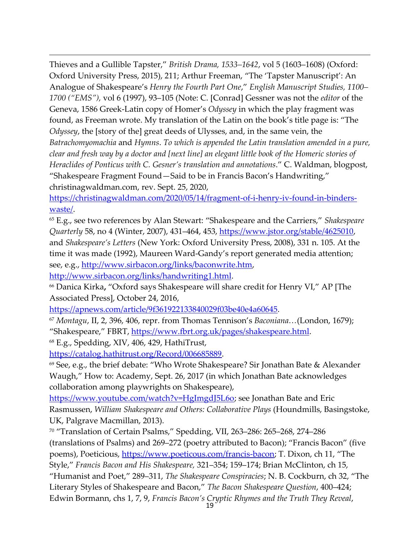Thieves and a Gullible Tapster," *British Drama, 1533‒1642*, vol 5 (1603‒1608) (Oxford: Oxford University Press, 2015), 211; Arthur Freeman, "The 'Tapster Manuscript': An Analogue of Shakespeare's *Henry the Fourth Part One*," *English Manuscript Studies, 1100‒ 1700 ("EMS"),* vol 6 (1997), 93‒105 (Note: C. [Conrad] Gessner was not the *editor* of the Geneva, 1586 Greek-Latin copy of Homer's *Odyssey* in which the play fragment was found, as Freeman wrote. My translation of the Latin on the book's title page is: "The *Odyssey*, the [story of the] great deeds of Ulysses, and, in the same vein, the *Batrachomyomachia* and *Hymns*. *To which is appended the Latin translation amended in a pure, clear and fresh way by a doctor and [next line] an elegant little book of the Homeric stories of Heraclides of Ponticus with C. Gesner's translation and annotations*." C. Waldman, blogpost, "Shakespeare Fragment Found—Said to be in Francis Bacon's Handwriting," christinagwaldman.com, rev. Sept. 25, 2020,

[https://christinagwaldman.com/2020/05/14/fragment-of-i-henry-iv-found-in-binders](https://christinagwaldman.com/2020/05/14/fragment-of-i-henry-iv-found-in-binders-waste/)[waste/.](https://christinagwaldman.com/2020/05/14/fragment-of-i-henry-iv-found-in-binders-waste/)

<sup>65</sup> E.g., see two references by Alan Stewart: "Shakespeare and the Carriers," *Shakespeare Quarterly* 58, no 4 (Winter, 2007), 431‒464, 453, [https://www.jstor.org/stable/4625010,](https://www.jstor.org/stable/4625010) and *Shakespeare's Letters* (New York: Oxford University Press, 2008), 331 n. 105. At the time it was made (1992), Maureen Ward-Gandy's report generated media attention; see, e.g., [http://www.sirbacon.org/links/baconwrite.htm,](http://www.sirbacon.org/links/baconwrite.htm)

[http://www.sirbacon.org/links/handwriting1.html.](http://www.sirbacon.org/links/handwriting1.html)

<sup>66</sup> Danica Kirka**,** "Oxford says Shakespeare will share credit for Henry VI," AP [The Associated Press], October 24, 2016,

[https://apnews.com/article/9f361922133840029f03be40e4a60645.](https://apnews.com/article/9f361922133840029f03be40e4a60645)

<sup>67</sup> *Montagu*, II, 2, 396, 406, repr. from Thomas Tennison's *Baconiana…*(London, 1679); "Shakespeare," FBRT, [https://www.fbrt.org.uk/pages/shakespeare.html.](https://www.fbrt.org.uk/pages/shakespeare.html)

<sup>68</sup> E.g., Spedding, XIV, 406, 429, HathiTrust,

[https://catalog.hathitrust.org/Record/006685889.](https://catalog.hathitrust.org/Record/006685889)

<sup>69</sup> See, e.g., the brief debate: "Who Wrote Shakespeare? Sir Jonathan Bate & Alexander Waugh," How to: Academy, Sept. 26, 2017 (in which Jonathan Bate acknowledges collaboration among playwrights on Shakespeare),

[https://www.youtube.com/watch?v=HgImgdJ5L6o;](https://www.youtube.com/watch?v=HgImgdJ5L6o) see Jonathan Bate and Eric Rasmussen, *William Shakespeare and Others: Collaborative Plays* (Houndmills, Basingstoke, UK, Palgrave Macmillan, 2013).

<sup>70</sup> "Translation of Certain Psalms," Spedding, VII, 263‒286: 265‒268, 274‒286 (translations of Psalms) and 269‒272 (poetry attributed to Bacon); "Francis Bacon" (five poems), Poeticious, [https://www.poeticous.com/francis-bacon;](https://www.poeticous.com/francis-bacon) T. Dixon, ch 11, "The Style," *Francis Bacon and His Shakespeare, 321–354; 159–174; Brian McClinton, ch 15,* "Humanist and Poet," 289‒311, *The Shakespeare Conspiracies*; N. B. Cockburn, ch 32, "The Literary Styles of Shakespeare and Bacon," *The Bacon Shakespeare Question*, 400–424; Edwin Bormann, chs 1, 7, 9, *Francis Bacon's Cryptic Rhymes and the Truth They Reveal*,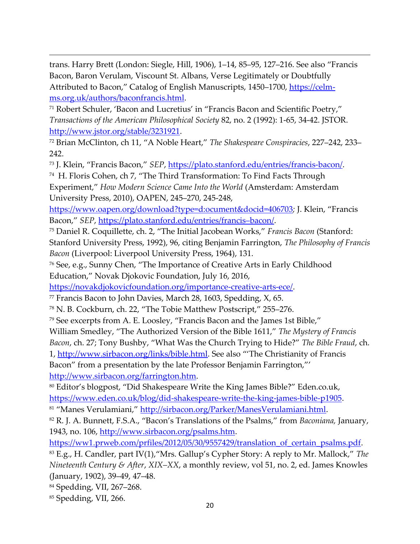trans. Harry Brett (London: Siegle, Hill, 1906), 1-14, 85-95, 127-216. See also "Francis Bacon, Baron Verulam, Viscount St. Albans, Verse Legitimately or Doubtfully Attributed to Bacon," Catalog of English Manuscripts, 1450–1700, [https://celm](https://celm-ms.org.uk/authors/baconfrancis.html)[ms.org.uk/authors/baconfrancis.html.](https://celm-ms.org.uk/authors/baconfrancis.html)

<sup>71</sup> Robert Schuler, 'Bacon and Lucretius' in "Francis Bacon and Scientific Poetry," *Transactions of the American Philosophical Society* 82, no. 2 (1992): 1-65, 34-42. JSTOR. [http://www.jstor.org/stable/3231921.](http://www.jstor.org/stable/3231921)

<sup>72</sup> Brian McClinton, ch 11, "A Noble Heart," *The Shakespeare Conspiracies*, 227-242, 233-242.

<sup>73</sup> J. Klein, "Francis Bacon," *SEP*, [https://plato.stanford.edu/entries/francis-bacon/.](https://plato.stanford.edu/entries/francis-bacon/)

<sup>74</sup> H. Floris Cohen, ch 7, "The Third Transformation: To Find Facts Through Experiment," *How Modern Science Came Into the World* (Amsterdam: Amsterdam University Press, 2010), OAPEN, 245–270, 245-248,

<https://www.oapen.org/download?type=d:ocument&docid=406703>*;* J. Klein, "Francis Bacon," *SEP*, [https://plato.stanford.edu/entries/francis](https://plato.stanford.edu/entries/francis-bacon/)–bacon/.

<sup>75</sup> Daniel R. Coquillette, ch. 2, "The Initial Jacobean Works," *Francis Bacon* (Stanford: Stanford University Press, 1992), 96, citing Benjamin Farrington, *The Philosophy of Francis Bacon* (Liverpool: Liverpool University Press, 1964), 131.

<sup>76</sup> See, e.g., Sunny Chen, "The Importance of Creative Arts in Early Childhood Education," Novak Djokovic Foundation, July 16, 2016,

[https://novakdjokovicfoundation.org/importance-creative-arts-ece/.](https://novakdjokovicfoundation.org/importance-creative-arts-ece/)

 $77$  Francis Bacon to John Davies, March 28, 1603, Spedding, X, 65.

<sup>78</sup> N. B. Cockburn, ch. 22, "The Tobie Matthew Postscript," 255–276.

<sup>79</sup> See excerpts from A. E. Loosley, "Francis Bacon and the James 1st Bible,"

William Smedley, "The Authorized Version of the Bible 1611," *The Mystery of Francis* 

*Bacon*, ch. 27; Tony Bushby, "What Was the Church Trying to Hide?" *The Bible Fraud*, ch.

1,<http://www.sirbacon.org/links/bible.html>. See also "The Christianity of Francis Bacon" from a presentation by the late Professor Benjamin Farrington,"'

[http://www.sirbacon.org/farrington.htm.](http://www.sirbacon.org/farrington.htm)

<sup>80</sup> Editor's blogpost, "Did Shakespeare Write the King James Bible?" Eden.co.uk, [https://www.eden.co.uk/blog/did-shakespeare-write-the-king-james-bible-p1905.](https://www.eden.co.uk/blog/did-shakespeare-write-the-king-james-bible-p1905)

81 "Manes Verulamiani," [http://sirbacon.org/Parker/ManesVerulamiani.html.](http://sirbacon.org/Parker/ManesVerulamiani.html)

<sup>82</sup> R. J. A. Bunnett, F.S.A., "Bacon's Translations of the Psalms," from *Baconiana,* January, 1943, no. 106, [http://www.sirbacon.org/psalms.htm.](http://www.sirbacon.org/psalms.htm)

[https://ww1.prweb.com/prfiles/2012/05/30/9557429/translation\\_of\\_certain\\_psalms.pdf.](https://ww1.prweb.com/prfiles/2012/05/30/9557429/translation_of_certain_psalms.pdf)

<sup>83</sup> E.g., H. Candler, part IV(1),"Mrs. Gallup's Cypher Story: A reply to Mr. Mallock," *The Nineteenth Century & After*, *XIX‒XX*, a monthly review, vol 51, no. 2, ed. James Knowles (January, 1902), 39‒49, 47‒48.

84 Spedding, VII, 267-268.

<sup>85</sup> Spedding, VII, 266.